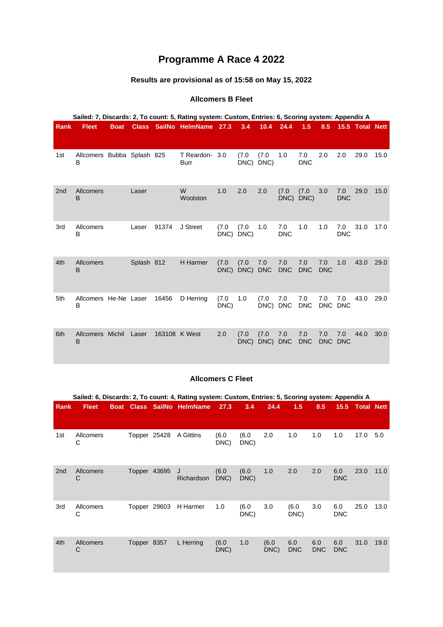# **Programme A Race 4 2022**

## **Results are provisional as of 15:58 on May 15, 2022**

#### **Allcomers B Fleet**

|                 | Sailed: 7, Discards: 2, To count: 5, Rating system: Custom, Entries: 6, Scoring system: Appendix A |             |            |       |                               |               |               |                   |                   |                   |                   |                   |                 |      |
|-----------------|----------------------------------------------------------------------------------------------------|-------------|------------|-------|-------------------------------|---------------|---------------|-------------------|-------------------|-------------------|-------------------|-------------------|-----------------|------|
| <b>Rank</b>     | <b>Fleet</b>                                                                                       | <b>Boat</b> |            |       | Class SailNo HelmName 27.3    |               | 3.4           | 10.4              | 24.4              | 1.5               | 8.5               |                   | 15.5 Total Nett |      |
| 1st             | Allcomers Bubba Splash 825<br>B                                                                    |             |            |       | T Reardon- 3.0<br><b>Burr</b> |               | (7.0)<br>DNC) | (7.0)<br>DNC)     | 1.0               | 7.0<br><b>DNC</b> | 2.0               | 2.0               | 29.0            | 15.0 |
| 2 <sub>nd</sub> | <b>Allcomers</b><br>B                                                                              |             | Laser      |       | W<br>Woolston                 | 1.0           | 2.0           | 2.0               | (7.0)<br>DNC)     | (7.0)<br>DNC)     | 3.0               | 7.0<br><b>DNC</b> | 29.0            | 15.0 |
| 3rd             | Allcomers<br>B                                                                                     |             | Laser      | 91374 | J Street                      | (7.0)<br>DNC) | (7.0)<br>DNC) | 1.0               | 7.0<br><b>DNC</b> | 1.0               | 1.0               | 7.0<br><b>DNC</b> | 31.0            | 17.0 |
| 4th             | <b>Allcomers</b><br>B                                                                              |             | Splash 812 |       | <b>H</b> Harmer               | (7.0)<br>DNC) | (7.0)<br>DNC) | 7.0<br><b>DNC</b> | 7.0<br><b>DNC</b> | 7.0<br><b>DNC</b> | 7.0<br><b>DNC</b> | 1.0               | 43.0            | 29.0 |
| 5th             | Allcomers He-Ne Laser<br>в                                                                         |             |            | 16456 | D Herring                     | (7.0)<br>DNC) | 1.0           | (7.0)<br>DNC)     | 7.0<br><b>DNC</b> | 7.0<br><b>DNC</b> | 7.0               | 7.0<br>DNC DNC    | 43.0            | 29.0 |
| 6th             | Allcomers Michil<br>B                                                                              |             | Laser      |       | 163108 K West                 | 2.0           | (7.0)<br>DNC) | (7.0)<br>DNC)     | 7.0<br><b>DNC</b> | 7.0<br><b>DNC</b> | 7.0<br><b>DNC</b> | 7.0<br><b>DNC</b> | 44.0            | 30.0 |

#### **Allcomers C Fleet**

|                 | Sailed: 6, Discards: 2, To count: 4, Rating system: Custom, Entries: 5, Scoring system: Appendix A |             |              |              |                              |               |               |               |                   |                   |                   |                 |      |
|-----------------|----------------------------------------------------------------------------------------------------|-------------|--------------|--------------|------------------------------|---------------|---------------|---------------|-------------------|-------------------|-------------------|-----------------|------|
| Rank            | <b>Fleet</b>                                                                                       | <b>Boat</b> |              |              | <b>Class SailNo HelmName</b> | 27.3          | 3.4           | 24.4          | 1.5               | 8.5               |                   | 15.5 Total Nett |      |
| 1st             | Allcomers<br>C                                                                                     |             |              | Topper 25428 | A Gittins                    | (6.0)<br>DNC) | (6.0<br>DNC)  | 2.0           | 1.0               | 1.0               | 1.0               | 17.0            | 5.0  |
| 2 <sub>nd</sub> | Allcomers<br>С                                                                                     |             | Topper 43695 |              | J<br>Richardson              | (6.0)<br>DNC) | (6.0)<br>DNC) | 1.0           | 2.0               | 2.0               | 6.0<br><b>DNC</b> | 23.0            | 11.0 |
| 3rd             | Allcomers<br>С                                                                                     |             | Topper 29603 |              | H Harmer                     | 1.0           | (6.0)<br>DNC) | 3.0           | (6.0)<br>DNC)     | 3.0               | 6.0<br><b>DNC</b> | 25.0            | 13.0 |
| 4th             | Allcomers<br>С                                                                                     |             | Topper 8357  |              | L Herring                    | (6.0)<br>DNC) | 1.0           | (6.0)<br>DNC) | 6.0<br><b>DNC</b> | 6.0<br><b>DNC</b> | 6.0<br><b>DNC</b> | 31.0            | 19.0 |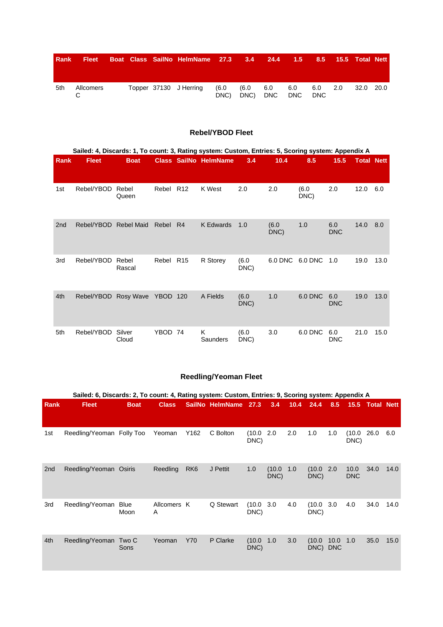| <b>Rank</b> | <b>Fleet</b> |  | Boat Class SailNo HelmName 27.3 3.4 24.4 1.5 8.5 15.5 Total Nett |              |               |            |                        |  |           |  |
|-------------|--------------|--|------------------------------------------------------------------|--------------|---------------|------------|------------------------|--|-----------|--|
| 5th         | Allcomers    |  | Topper 37130 J Herring                                           | (6.0<br>DNC) | (6.0)<br>DNC) | 6.0<br>DNC | 6.0 6.0 2.0<br>DNC DNC |  | 32.0 20.0 |  |

#### **Rebel/YBOD Fleet**

|                 | Sailed: 4, Discards: 1, To count: 3, Rating system: Custom, Entries: 5, Scoring system: Appendix A |                   |                 |    |                              |               |               |              |                   |                   |      |  |  |
|-----------------|----------------------------------------------------------------------------------------------------|-------------------|-----------------|----|------------------------------|---------------|---------------|--------------|-------------------|-------------------|------|--|--|
| Rank            | <b>Fleet</b>                                                                                       | <b>Boat</b>       |                 |    | <b>Class SailNo HelmName</b> | 3.4           | 10.4          | 8.5          | 15.5              | <b>Total Nett</b> |      |  |  |
| 1st             | Rebel/YBOD                                                                                         | Rebel<br>Queen    | Rebel R12       |    | K West                       | 2.0           | 2.0           | (6.0<br>DNC) | 2.0               | 12.0              | 6.0  |  |  |
| 2 <sub>nd</sub> | Rebel/YBOD                                                                                         | <b>Rebel Maid</b> | Rebel           | R4 | K Edwards                    | 1.0           | (6.0)<br>DNC) | 1.0          | 6.0<br><b>DNC</b> | 14.0              | 8.0  |  |  |
| 3rd             | Rebel/YBOD                                                                                         | Rebel<br>Rascal   | Rebel R15       |    | R Storey                     | (6.0)<br>DNC) | 6.0 DNC       | 6.0 DNC      | 1.0               | 19.0              | 13.0 |  |  |
| 4th             | Rebel/YBOD Rosy Wave                                                                               |                   | <b>YBOD 120</b> |    | A Fields                     | (6.0)<br>DNC) | 1.0           | 6.0 DNC      | 6.0<br><b>DNC</b> | 19.0              | 13.0 |  |  |
| 5th             | Rebel/YBOD                                                                                         | Silver<br>Cloud   | YBOD 74         |    | K<br>Saunders                | (6.0)<br>DNC) | 3.0           | 6.0 DNC      | 6.0<br><b>DNC</b> | 21.0              | 15.0 |  |  |

### **Reedling/Yeoman Fleet**

|                 | Sailed: 6, Discards: 2, To count: 4, Rating system: Custom, Entries: 9, Scoring system: Appendix A |                     |                  |                 |                 |                |                |      |                |                    |                    |                   |      |
|-----------------|----------------------------------------------------------------------------------------------------|---------------------|------------------|-----------------|-----------------|----------------|----------------|------|----------------|--------------------|--------------------|-------------------|------|
| Rank            | <b>Fleet</b>                                                                                       | <b>Boat</b>         | <b>Class</b>     |                 | SailNo HelmName | 27.3           | 3.4            | 10.4 | 24.4           | 8.5                | 15.5               | <b>Total Nett</b> |      |
| 1st             | Reedling/Yeoman Folly Too                                                                          |                     | Yeoman           | Y162            | C Bolton        | (10.0)<br>DNC) | 2.0            | 2.0  | 1.0            | 1.0                | (10.0<br>DNC)      | 26.0              | 6.0  |
| 2 <sub>nd</sub> | Reedling/Yeoman Osiris                                                                             |                     | Reedling         | RK <sub>6</sub> | J Pettit        | 1.0            | (10.0)<br>DNC) | 1.0  | (10.0)<br>DNC) | 2.0                | 10.0<br><b>DNC</b> | 34.0              | 14.0 |
| 3rd             | Reedling/Yeoman                                                                                    | <b>Blue</b><br>Moon | Allcomers K<br>A |                 | Q Stewart       | (10.0)<br>DNC) | 3.0            | 4.0  | (10.0<br>DNC)  | 3.0                | 4.0                | 34.0              | 14.0 |
| 4th             | Reedling/Yeoman Two C                                                                              | Sons                | Yeoman           | Y70             | P Clarke        | (10.0)<br>DNC) | 1.0            | 3.0  | (10.0<br>DNC)  | 10.0<br><b>DNC</b> | 1.0                | 35.0              | 15.0 |